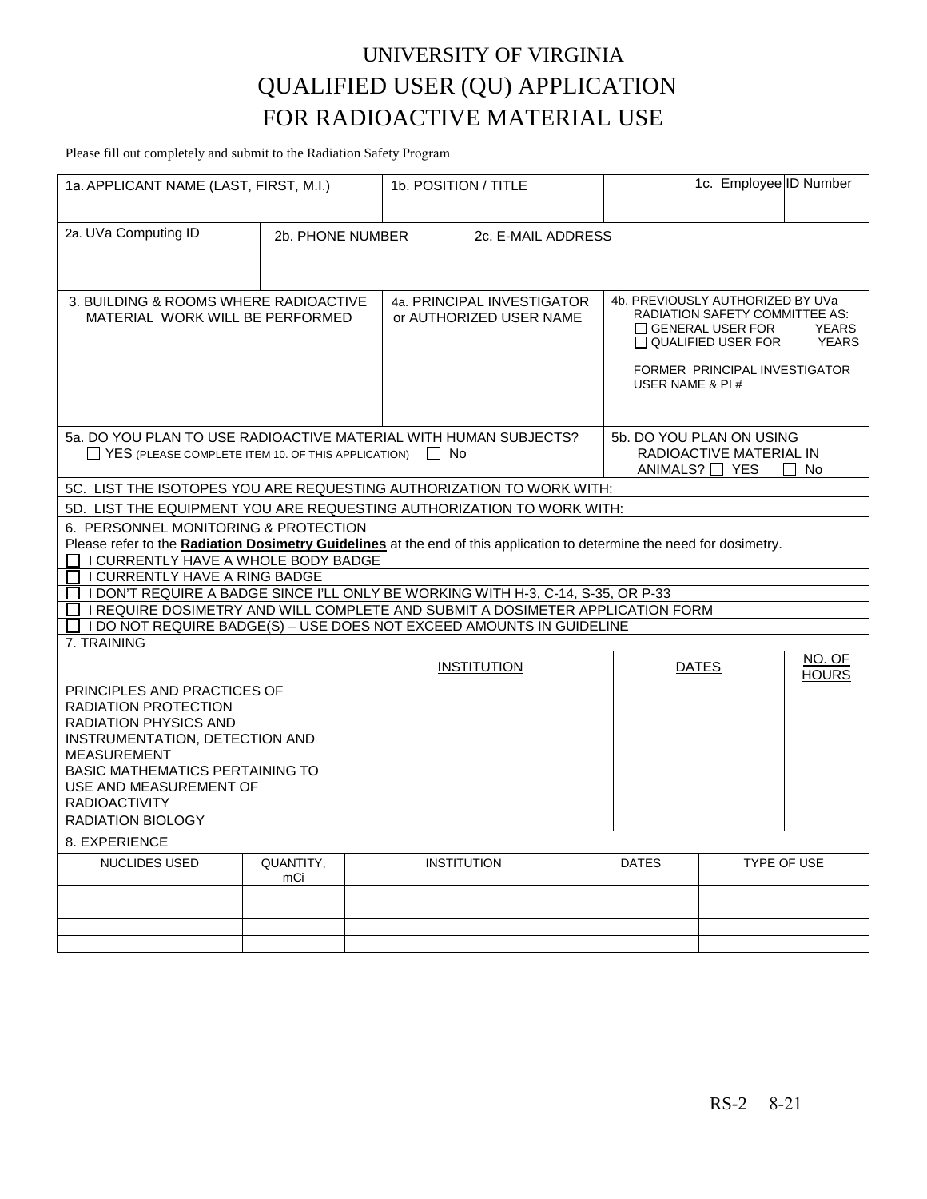# UNIVERSITY OF VIRGINIA QUALIFIED USER (QU) APPLICATION FOR RADIOACTIVE MATERIAL USE

Please fill out completely and submit to the Radiation Safety Program

| 1a. APPLICANT NAME (LAST, FIRST, M.I.)                                                                                                  |                  |                    | 1b. POSITION / TITLE                                  |                                                                                      | 1c. Employee ID Number                                                                                                                                                                                                |             |  |
|-----------------------------------------------------------------------------------------------------------------------------------------|------------------|--------------------|-------------------------------------------------------|--------------------------------------------------------------------------------------|-----------------------------------------------------------------------------------------------------------------------------------------------------------------------------------------------------------------------|-------------|--|
| 2a. UVa Computing ID                                                                                                                    | 2b. PHONE NUMBER |                    | 2c. E-MAIL ADDRESS                                    |                                                                                      |                                                                                                                                                                                                                       |             |  |
| 3. BUILDING & ROOMS WHERE RADIOACTIVE<br>MATERIAL WORK WILL BE PERFORMED                                                                |                  |                    | 4a. PRINCIPAL INVESTIGATOR<br>or AUTHORIZED USER NAME |                                                                                      | 4b. PREVIOUSLY AUTHORIZED BY UVa<br><b>RADIATION SAFETY COMMITTEE AS:</b><br>$\Box$ GENERAL USER FOR<br><b>YEARS</b><br>$\Box$ QUALIFIED USER FOR<br><b>YEARS</b><br>FORMER PRINCIPAL INVESTIGATOR<br>USER NAME & PI# |             |  |
| 5a. DO YOU PLAN TO USE RADIOACTIVE MATERIAL WITH HUMAN SUBJECTS?<br>$\Box$ YES (PLEASE COMPLETE ITEM 10. OF THIS APPLICATION) $\Box$ No |                  |                    |                                                       | 5b. DO YOU PLAN ON USING<br>RADIOACTIVE MATERIAL IN<br>ANIMALS? $\Box$ YES<br>l I No |                                                                                                                                                                                                                       |             |  |
| 5C. LIST THE ISOTOPES YOU ARE REQUESTING AUTHORIZATION TO WORK WITH:                                                                    |                  |                    |                                                       |                                                                                      |                                                                                                                                                                                                                       |             |  |
| 5D. LIST THE EQUIPMENT YOU ARE REQUESTING AUTHORIZATION TO WORK WITH:                                                                   |                  |                    |                                                       |                                                                                      |                                                                                                                                                                                                                       |             |  |
| 6. PERSONNEL MONITORING & PROTECTION                                                                                                    |                  |                    |                                                       |                                                                                      |                                                                                                                                                                                                                       |             |  |
| Please refer to the Radiation Dosimetry Guidelines at the end of this application to determine the need for dosimetry.                  |                  |                    |                                                       |                                                                                      |                                                                                                                                                                                                                       |             |  |
| I CURRENTLY HAVE A WHOLE BODY BADGE                                                                                                     |                  |                    |                                                       |                                                                                      |                                                                                                                                                                                                                       |             |  |
| I CURRENTLY HAVE A RING BADGE                                                                                                           |                  |                    |                                                       |                                                                                      |                                                                                                                                                                                                                       |             |  |
| □ I DON'T REQUIRE A BADGE SINCE I'LL ONLY BE WORKING WITH H-3, C-14, S-35, OR P-33                                                      |                  |                    |                                                       |                                                                                      |                                                                                                                                                                                                                       |             |  |
| $\Box$ I REQUIRE DOSIMETRY AND WILL COMPLETE AND SUBMIT A DOSIMETER APPLICATION FORM                                                    |                  |                    |                                                       |                                                                                      |                                                                                                                                                                                                                       |             |  |
| $\Box$ I DO NOT REQUIRE BADGE(S) - USE DOES NOT EXCEED AMOUNTS IN GUIDELINE<br>7. TRAINING                                              |                  |                    |                                                       |                                                                                      |                                                                                                                                                                                                                       |             |  |
|                                                                                                                                         |                  |                    |                                                       |                                                                                      |                                                                                                                                                                                                                       | NO. OF      |  |
|                                                                                                                                         |                  |                    | <b>INSTITUTION</b>                                    |                                                                                      | <b>DATES</b>                                                                                                                                                                                                          |             |  |
| PRINCIPLES AND PRACTICES OF                                                                                                             |                  |                    |                                                       |                                                                                      |                                                                                                                                                                                                                       |             |  |
| RADIATION PROTECTION                                                                                                                    |                  |                    |                                                       |                                                                                      |                                                                                                                                                                                                                       |             |  |
| <b>RADIATION PHYSICS AND</b>                                                                                                            |                  |                    |                                                       |                                                                                      |                                                                                                                                                                                                                       |             |  |
| INSTRUMENTATION, DETECTION AND<br><b>MEASUREMENT</b>                                                                                    |                  |                    |                                                       |                                                                                      |                                                                                                                                                                                                                       |             |  |
| <b>BASIC MATHEMATICS PERTAINING TO</b><br>USE AND MEASUREMENT OF<br><b>RADIOACTIVITY</b>                                                |                  |                    |                                                       |                                                                                      |                                                                                                                                                                                                                       |             |  |
| <b>RADIATION BIOLOGY</b>                                                                                                                |                  |                    |                                                       |                                                                                      |                                                                                                                                                                                                                       |             |  |
| 8. EXPERIENCE                                                                                                                           |                  |                    |                                                       |                                                                                      |                                                                                                                                                                                                                       |             |  |
| <b>NUCLIDES USED</b>                                                                                                                    | QUANTITY,<br>mCi | <b>INSTITUTION</b> |                                                       | <b>DATES</b>                                                                         |                                                                                                                                                                                                                       | TYPE OF USE |  |
|                                                                                                                                         |                  |                    |                                                       |                                                                                      |                                                                                                                                                                                                                       |             |  |
|                                                                                                                                         |                  |                    |                                                       |                                                                                      |                                                                                                                                                                                                                       |             |  |
|                                                                                                                                         |                  |                    |                                                       |                                                                                      |                                                                                                                                                                                                                       |             |  |
|                                                                                                                                         |                  |                    |                                                       |                                                                                      |                                                                                                                                                                                                                       |             |  |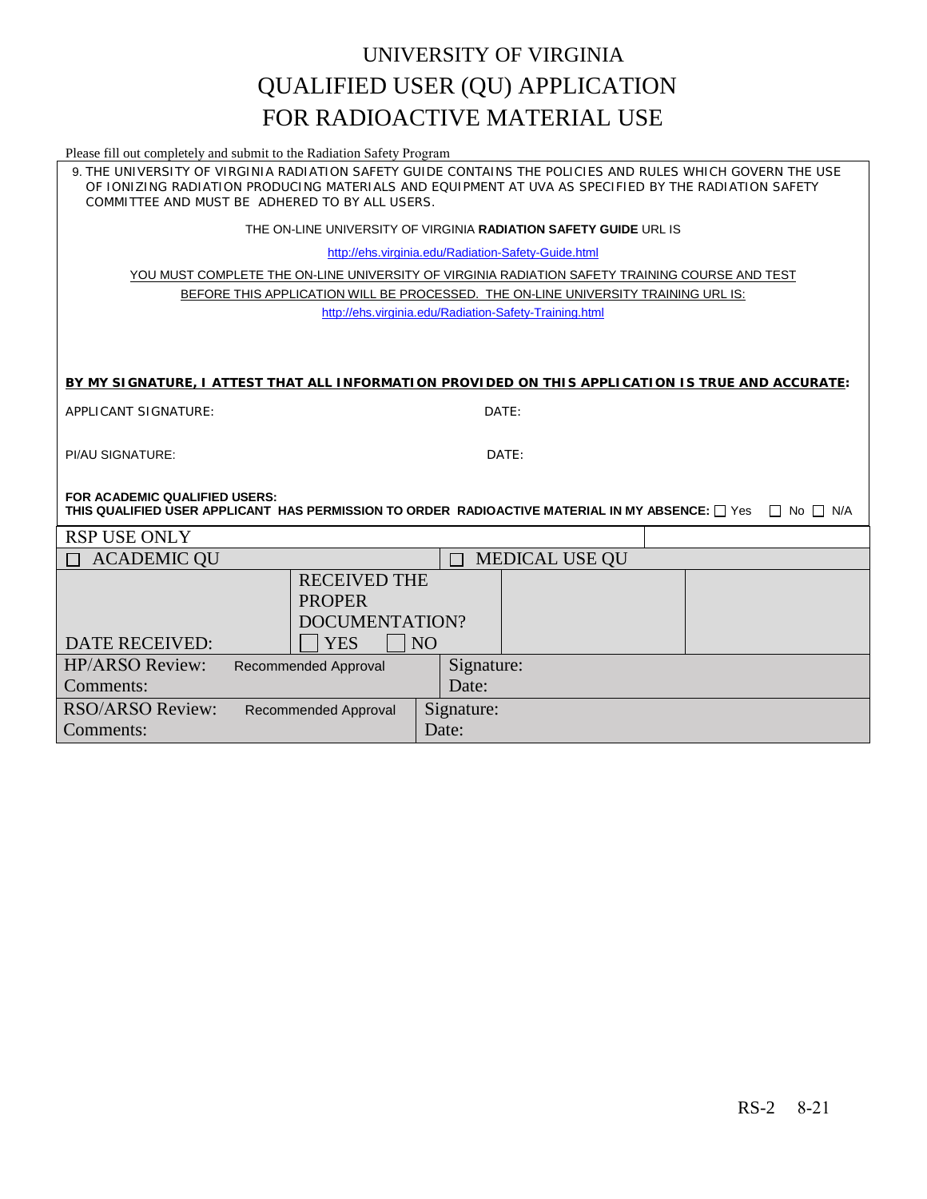### UNIVERSITY OF VIRGINIA QUALIFIED USER (QU) APPLICATION FOR RADIOACTIVE MATERIAL USE

Please fill out completely and submit to the Radiation Safety Program

9. THE UNIVERSITY OF VIRGINIA RADIATION SAFETY GUIDE CONTAINS THE POLICIES AND RULES WHICH GOVERN THE USE OF IONIZING RADIATION PRODUCING MATERIALS AND EQUIPMENT AT UVA AS SPECIFIED BY THE RADIATION SAFETY COMMITTEE AND MUST BE ADHERED TO BY ALL USERS.

THE ON-LINE UNIVERSITY OF VIRGINIA **RADIATION SAFETY GUIDE** URL IS

<http://ehs.virginia.edu/Radiation-Safety-Guide.html>

YOU MUST COMPLETE THE ON-LINE UNIVERSITY OF VIRGINIA RADIATION SAFETY TRAINING COURSE AND TEST BEFORE THIS APPLICATION WILL BE PROCESSED. THE ON-LINE UNIVERSITY TRAINING URL IS: <http://ehs.virginia.edu/Radiation-Safety-Training.html>

#### **BY MY SIGNATURE, I ATTEST THAT ALL INFORMATION PROVIDED ON THIS APPLICATION IS TRUE AND ACCURATE:**

| APPLICANT SIGNATURE: | DATE |
|----------------------|------|
|----------------------|------|

PI/AU SIGNATURE: DATE:

**FOR ACADEMIC QUALIFIED USERS: THIS QUALIFIED USER APPLICANT HAS PERMISSION TO ORDER RADIOACTIVE MATERIAL IN MY ABSENCE:**  $\Box$  Yes  $\Box$  No  $\Box$  N/A

| <b>RSP USE ONLY</b>          |                      |                |            |                       |  |
|------------------------------|----------------------|----------------|------------|-----------------------|--|
| <b>ACADEMIC QU</b><br>$\Box$ |                      |                |            | <b>MEDICAL USE QU</b> |  |
|                              | <b>RECEIVED THE</b>  |                |            |                       |  |
|                              | <b>PROPER</b>        |                |            |                       |  |
|                              |                      | DOCUMENTATION? |            |                       |  |
| <b>DATE RECEIVED:</b>        | <b>YES</b>           | <b>NO</b>      |            |                       |  |
| <b>HP/ARSO Review:</b>       | Recommended Approval |                | Signature: |                       |  |
| Comments:                    |                      |                | Date:      |                       |  |
| <b>RSO/ARSO Review:</b>      | Recommended Approval |                | Signature: |                       |  |
| Comments:                    |                      |                | Date:      |                       |  |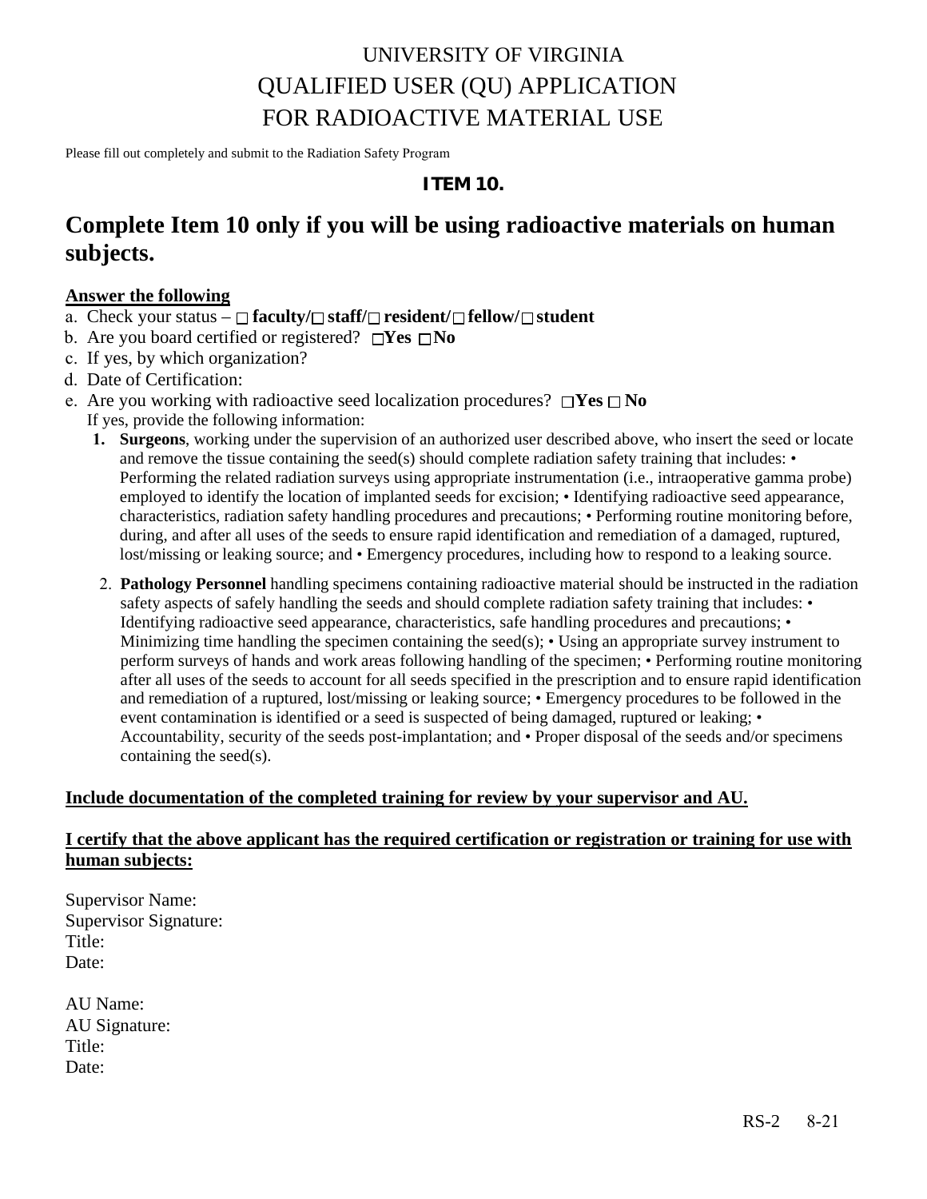## UNIVERSITY OF VIRGINIA QUALIFIED USER (QU) APPLICATION FOR RADIOACTIVE MATERIAL USE

Please fill out completely and submit to the Radiation Safety Program

#### **ITEM 10.**

### **Complete Item 10 only if you will be using radioactive materials on human subjects.**

#### **Answer the following**

- a. Check your status  $-\Box$  **faculty/** $\Box$  **staff/** $\Box$  **resident/** $\Box$  **fellow/** $\Box$  **student**
- b. Are you board certified or registered?  $\Box$ Yes  $\Box$ No
- c. If yes, by which organization?
- d. Date of Certification:
- e. Are you working with radioactive seed localization procedures?  $\Box$  Yes  $\Box$  No
	- If yes, provide the following information:
		- **1. Surgeons**, working under the supervision of an authorized user described above, who insert the seed or locate and remove the tissue containing the seed(s) should complete radiation safety training that includes:  $\bullet$ Performing the related radiation surveys using appropriate instrumentation (i.e., intraoperative gamma probe) employed to identify the location of implanted seeds for excision; • Identifying radioactive seed appearance, characteristics, radiation safety handling procedures and precautions; • Performing routine monitoring before, during, and after all uses of the seeds to ensure rapid identification and remediation of a damaged, ruptured, lost/missing or leaking source; and • Emergency procedures, including how to respond to a leaking source.
		- 2. **Pathology Personnel** handling specimens containing radioactive material should be instructed in the radiation safety aspects of safely handling the seeds and should complete radiation safety training that includes: • Identifying radioactive seed appearance, characteristics, safe handling procedures and precautions; • Minimizing time handling the specimen containing the seed(s); • Using an appropriate survey instrument to perform surveys of hands and work areas following handling of the specimen; • Performing routine monitoring after all uses of the seeds to account for all seeds specified in the prescription and to ensure rapid identification and remediation of a ruptured, lost/missing or leaking source; • Emergency procedures to be followed in the event contamination is identified or a seed is suspected of being damaged, ruptured or leaking; • Accountability, security of the seeds post-implantation; and • Proper disposal of the seeds and/or specimens containing the seed(s).

#### **Include documentation of the completed training for review by your supervisor and AU.**

### **I certify that the above applicant has the required certification or registration or training for use with human subjects:**

Supervisor Name: Supervisor Signature: Title: Date:

| AU Name:      |
|---------------|
| AU Signature: |
| Title:        |
| Date:         |